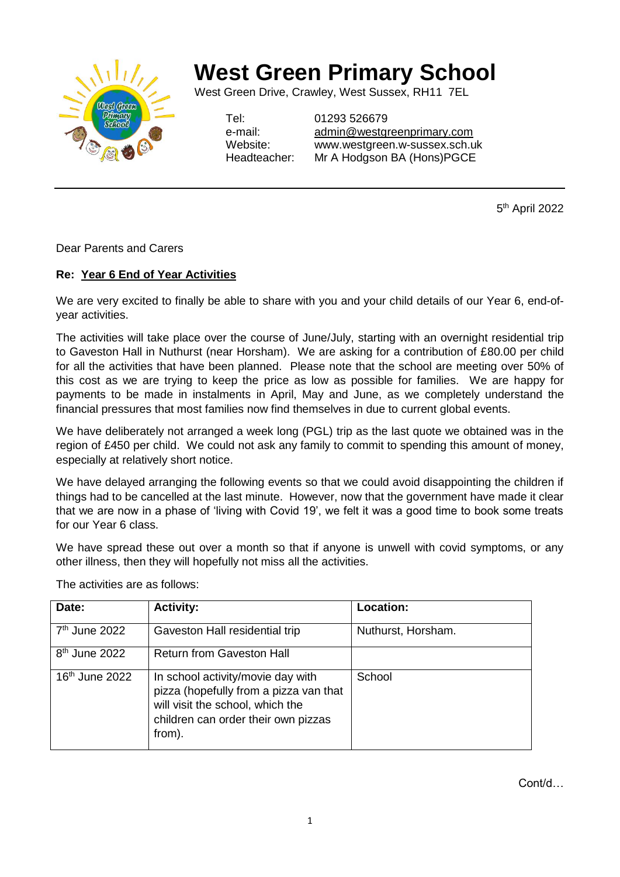

## **West Green Primary School**

West Green Drive, Crawley, West Sussex, RH11 7EL

Tel: 01293 526679 e-mail: [admin@westgreenprimary.com](mailto:admin@westgreenprimary.com) Website: www.westgreen.w-sussex.sch.uk Headteacher: Mr A Hodgson BA (Hons)PGCE

5 th April 2022

Dear Parents and Carers

## **Re: Year 6 End of Year Activities**

We are very excited to finally be able to share with you and your child details of our Year 6, end-ofyear activities.

The activities will take place over the course of June/July, starting with an overnight residential trip to Gaveston Hall in Nuthurst (near Horsham). We are asking for a contribution of £80.00 per child for all the activities that have been planned. Please note that the school are meeting over 50% of this cost as we are trying to keep the price as low as possible for families. We are happy for payments to be made in instalments in April, May and June, as we completely understand the financial pressures that most families now find themselves in due to current global events.

We have deliberately not arranged a week long (PGL) trip as the last quote we obtained was in the region of £450 per child. We could not ask any family to commit to spending this amount of money, especially at relatively short notice.

We have delayed arranging the following events so that we could avoid disappointing the children if things had to be cancelled at the last minute. However, now that the government have made it clear that we are now in a phase of 'living with Covid 19', we felt it was a good time to book some treats for our Year 6 class.

We have spread these out over a month so that if anyone is unwell with covid symptoms, or any other illness, then they will hopefully not miss all the activities.

The activities are as follows:

| Date:                      | <b>Activity:</b>                                                                                                                                                 | Location:          |
|----------------------------|------------------------------------------------------------------------------------------------------------------------------------------------------------------|--------------------|
| 7 <sup>th</sup> June 2022  | Gaveston Hall residential trip                                                                                                                                   | Nuthurst, Horsham. |
| $8th$ June 2022            | <b>Return from Gaveston Hall</b>                                                                                                                                 |                    |
| 16 <sup>th</sup> June 2022 | In school activity/movie day with<br>pizza (hopefully from a pizza van that<br>will visit the school, which the<br>children can order their own pizzas<br>from). | School             |

Cont/d…